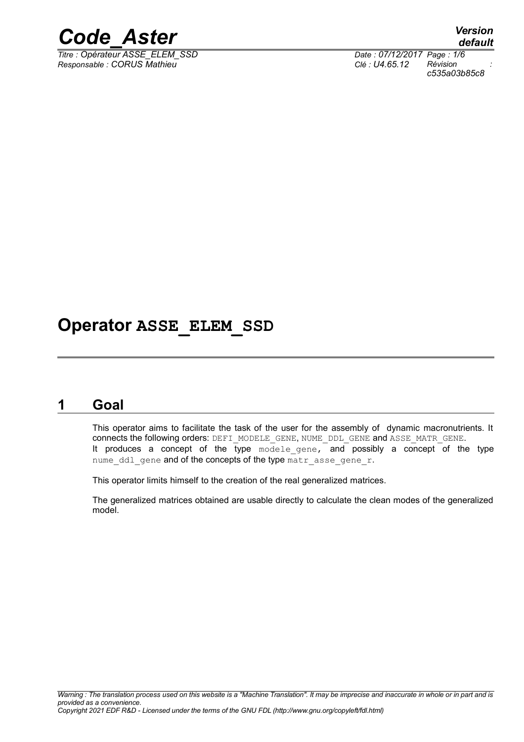

*Responsable : CORUS Mathieu Clé : U4.65.12 Révision :*

*default Titre : Opérateur ASSE\_ELEM\_SSD Date : 07/12/2017 Page : 1/6 c535a03b85c8*

## **Operator ASSE\_ELEM\_SSD**

### **1 Goal**

<span id="page-0-0"></span>This operator aims to facilitate the task of the user for the assembly of dynamic macronutrients. It connects the following orders: DEFI\_MODELE\_GENE, NUME\_DDL\_GENE and ASSE\_MATR\_GENE. It produces a concept of the type  $\overline{m}$  delegene, and possibly a concept of the type nume ddl gene and of the concepts of the type matr asse gene r.

This operator limits himself to the creation of the real generalized matrices.

The generalized matrices obtained are usable directly to calculate the clean modes of the generalized model.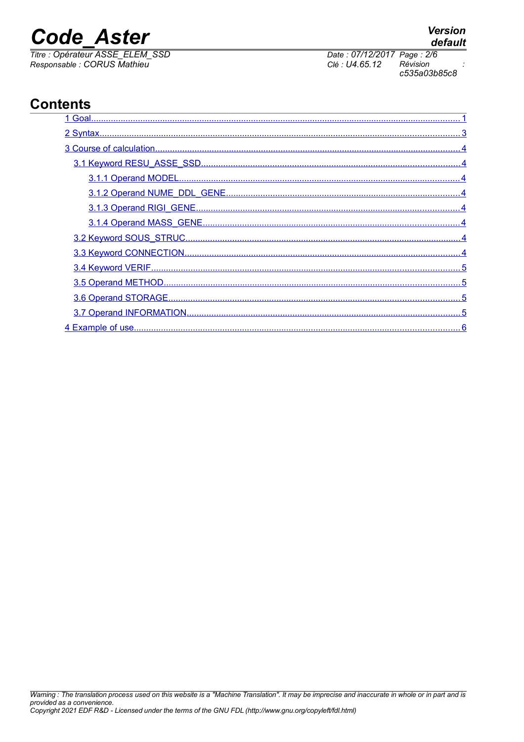## **Code Aster**

Titre : Opérateur ASSE\_ELEM\_SSD<br>Responsable : CORUS Mathieu

## **Contents**



Date: 07/12/2017 Page: 2/6 Clé : U4.65.12 Révision c535a03b85c8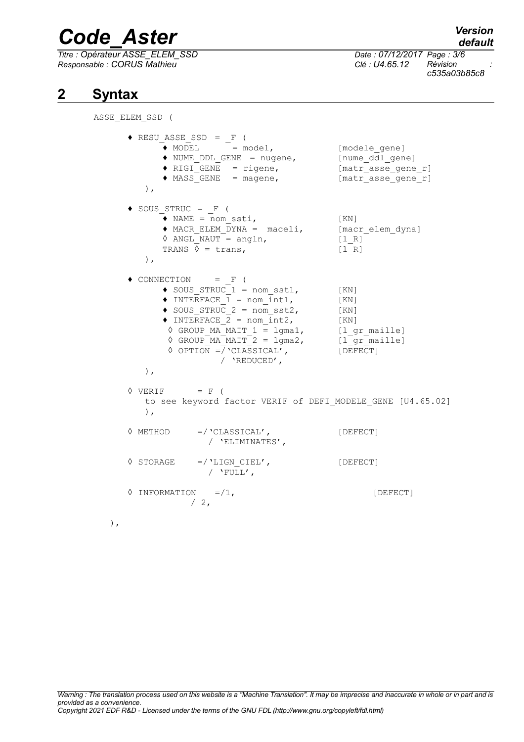*Titre : Opérateur ASSE\_ELEM\_SSD Date : 07/12/2017 Page : 3/6 Responsable : CORUS Mathieu Clé : U4.65.12 Révision :*

*c535a03b85c8*

### **2 Syntax**

<span id="page-2-0"></span>ASSE\_ELEM\_SSD (

|    | $\triangle$ RESU_ASSE_SSD = $_F$ (<br>$\bullet$ MODEL = model,<br>$\blacklozenge$ NUME DDL GENE = nugene,<br>$\triangleleft$ RIGI GENE = rigene,<br>$\bullet$ MASS GENE = magene,<br>$\,$ ,                                                                                                                                               | [modele gene]<br>[nume ddl gene]<br>[matr asse gene r]<br>[matr asse gene r]       |
|----|-------------------------------------------------------------------------------------------------------------------------------------------------------------------------------------------------------------------------------------------------------------------------------------------------------------------------------------------|------------------------------------------------------------------------------------|
|    | $\bullet$ SOUS STRUC = F (<br>$\bullet$ NAME = nom ssti,<br>$\bullet$ MACR ELEM DYNA = maceli,<br>$\Diamond$ ANGL NAUT = angln,<br>TRANS $\sqrt{\ }$ = trans,<br>$\,$ ,                                                                                                                                                                   | [KN]<br>[macr_elem dyna]<br>[1 R]<br>[1 R]                                         |
|    | $\bullet$ CONNECTION = F (<br>$\bullet$ SOUS STRUC 1 = nom sst1,<br>$\bullet$ INTERFACE $1 =$ nom int1,<br>$\bullet$ SOUS STRUC 2 = nom sst2,<br>$\bullet$ INTERFACE 2 = nom int2,<br>$\Diamond$ GROUP MA MAIT $1 = 1$ gma1,<br>$\Diamond$ GROUP MA MAIT 2 = $1$ gma2,<br>$\lozenge$ OPTION =/'CLASSICAL',<br>/ 'REDUCED',<br>$\lambda$ , | [ KN ]<br>[ KN ]<br>[ KN ]<br>[ KN ]<br>[l gr_maille]<br>[1 gr maille]<br>[DEFECT] |
|    | $\Diamond$ VERIF = F (<br>to see keyword factor VERIF of DEFI_MODELE_GENE [U4.65.02]<br>$\,$ ,                                                                                                                                                                                                                                            |                                                                                    |
|    | $\Diamond$ METHOD =/ 'CLASSICAL',<br>/ 'ELIMINATES',                                                                                                                                                                                                                                                                                      | [DEFECT]                                                                           |
|    | $\Diamond$ STORAGE =/ 'LIGN CIEL',<br>/ $'$ FULL',                                                                                                                                                                                                                                                                                        | [DEFECT]                                                                           |
|    | $\Diamond$ INFORMATION =/1,<br>$\begin{array}{cc} \begin{array}{cc} \end{array} & 2 \end{array}$                                                                                                                                                                                                                                          | [DEFECT]                                                                           |
| ), |                                                                                                                                                                                                                                                                                                                                           |                                                                                    |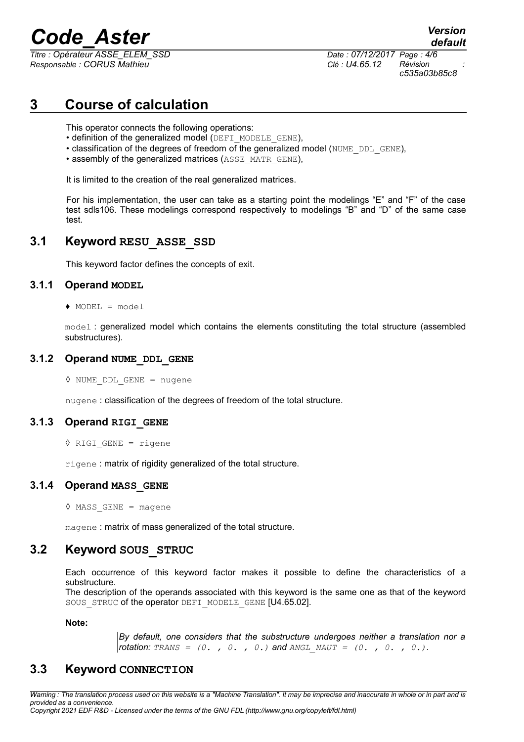*Titre : Opérateur ASSE\_ELEM\_SSD Date : 07/12/2017 Page : 4/6 Responsable : CORUS Mathieu Clé : U4.65.12 Révision :*

*c535a03b85c8*

*default*

## **3 Course of calculation**

<span id="page-3-7"></span>This operator connects the following operations:

- definition of the generalized model (DEFI\_MODELE\_GENE),
- classification of the degrees of freedom of the generalized model (NUME\_DDL\_GENE),
- assembly of the generalized matrices (ASSE\_MATR\_GENE),

It is limited to the creation of the real generalized matrices.

For his implementation, the user can take as a starting point the modelings "E" and "F" of the case test sdls106. These modelings correspond respectively to modelings "B" and "D" of the same case test.

#### **3.1 Keyword RESU\_ASSE\_SSD**

<span id="page-3-6"></span><span id="page-3-5"></span>This keyword factor defines the concepts of exit.

#### **3.1.1 Operand MODEL**

 $\triangle$  MODEL = model

model : generalized model which contains the elements constituting the total structure (assembled substructures).

#### **3.1.2 Operand NUME\_DDL\_GENE**

<span id="page-3-4"></span>◊ NUME\_DDL\_GENE = nugene

<span id="page-3-3"></span>nugene : classification of the degrees of freedom of the total structure.

#### **3.1.3 Operand RIGI\_GENE**

◊ RIGI\_GENE = rigene

<span id="page-3-2"></span>rigene: matrix of rigidity generalized of the total structure.

#### **3.1.4 Operand MASS\_GENE**

 $\Diamond$  MASS GENE = magene

<span id="page-3-1"></span>magene : matrix of mass generalized of the total structure.

#### **3.2 Keyword SOUS\_STRUC**

Each occurrence of this keyword factor makes it possible to define the characteristics of a substructure.

The description of the operands associated with this keyword is the same one as that of the keyword SOUS STRUC of the operator DEFI\_MODELE\_GENE [U4.65.02].

**Note:**

*By default, one considers that the substructure undergoes neither a translation nor a rotation:*  $TRANS = (0, 0, 0, 0)$  *and ANGL\_NAUT =*  $(0, 0, 0, 0)$ *.* 

#### <span id="page-3-0"></span>**3.3 Keyword CONNECTION**

*Warning : The translation process used on this website is a "Machine Translation". It may be imprecise and inaccurate in whole or in part and is provided as a convenience.*

*Copyright 2021 EDF R&D - Licensed under the terms of the GNU FDL (http://www.gnu.org/copyleft/fdl.html)*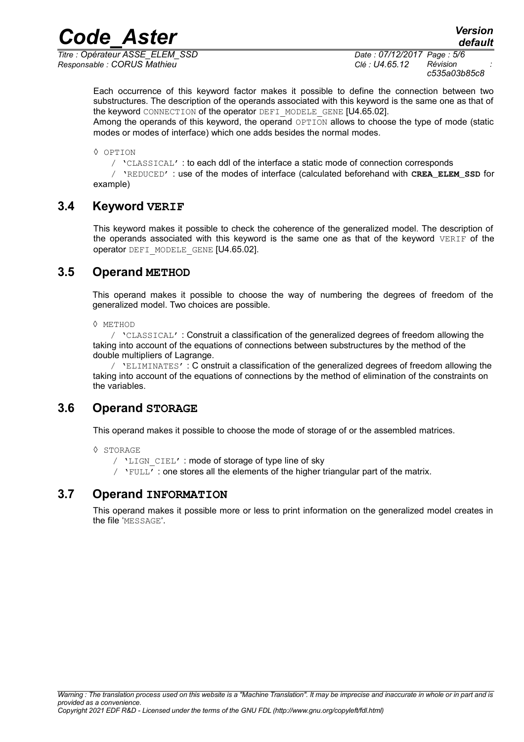*Responsable : CORUS Mathieu Clé : U4.65.12 Révision :*

*Titre : Opérateur ASSE\_ELEM\_SSD Date : 07/12/2017 Page : 5/6 c535a03b85c8*

*default*

Each occurrence of this keyword factor makes it possible to define the connection between two substructures. The description of the operands associated with this keyword is the same one as that of the keyword CONNECTION of the operator DEFI\_MODELE\_GENE [U4.65.02].

Among the operands of this keyword, the operand OPTION allows to choose the type of mode (static modes or modes of interface) which one adds besides the normal modes.

◊ OPTION

/ 'CLASSICAL' : to each ddl of the interface a static mode of connection corresponds

/ 'REDUCED' : use of the modes of interface (calculated beforehand with **CREA\_ELEM\_SSD** for example)

#### **3.4 Keyword VERIF**

<span id="page-4-3"></span>This keyword makes it possible to check the coherence of the generalized model. The description of the operands associated with this keyword is the same one as that of the keyword VERIF of the operator DEFI\_MODELE\_GENE [U4.65.02].

#### **3.5 Operand METHOD**

<span id="page-4-2"></span>This operand makes it possible to choose the way of numbering the degrees of freedom of the generalized model. Two choices are possible.

◊ METHOD

/ 'CLASSICAL' : Construit a classification of the generalized degrees of freedom allowing the taking into account of the equations of connections between substructures by the method of the double multipliers of Lagrange.

/ 'ELIMINATES' : C onstruit a classification of the generalized degrees of freedom allowing the taking into account of the equations of connections by the method of elimination of the constraints on the variables.

#### **3.6 Operand STORAGE**

<span id="page-4-1"></span>This operand makes it possible to choose the mode of storage of or the assembled matrices.

◊ STORAGE

- / 'LIGN CIEL' : mode of storage of type line of sky
- $\gamma$  'FULL': one stores all the elements of the higher triangular part of the matrix.

#### **3.7 Operand INFORMATION**

<span id="page-4-0"></span>This operand makes it possible more or less to print information on the generalized model creates in the file 'MESSAGE'.